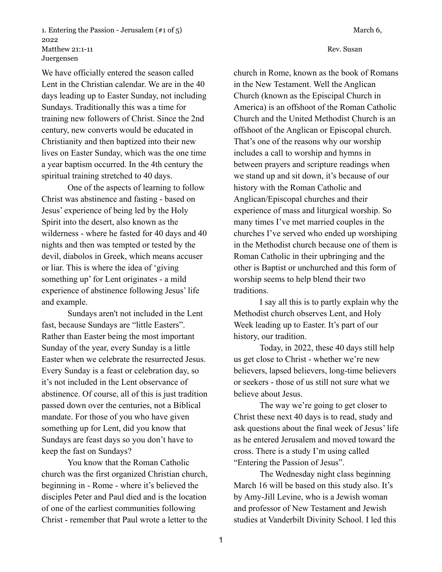1. Entering the Passion - Jerusalem (#1 of 5) March 6, 2022 Matthew 21:1-11 Rev. Susan Juergensen

We have officially entered the season called Lent in the Christian calendar. We are in the 40 days leading up to Easter Sunday, not including Sundays. Traditionally this was a time for training new followers of Christ. Since the 2nd century, new converts would be educated in Christianity and then baptized into their new lives on Easter Sunday, which was the one time a year baptism occurred. In the 4th century the spiritual training stretched to 40 days.

One of the aspects of learning to follow Christ was abstinence and fasting - based on Jesus' experience of being led by the Holy Spirit into the desert, also known as the wilderness - where he fasted for 40 days and 40 nights and then was tempted or tested by the devil, diabolos in Greek, which means accuser or liar. This is where the idea of 'giving something up' for Lent originates - a mild experience of abstinence following Jesus' life and example.

Sundays aren't not included in the Lent fast, because Sundays are "little Easters". Rather than Easter being the most important Sunday of the year, every Sunday is a little Easter when we celebrate the resurrected Jesus. Every Sunday is a feast or celebration day, so it's not included in the Lent observance of abstinence. Of course, all of this is just tradition passed down over the centuries, not a Biblical mandate. For those of you who have given something up for Lent, did you know that Sundays are feast days so you don't have to keep the fast on Sundays?

You know that the Roman Catholic church was the first organized Christian church, beginning in - Rome - where it's believed the disciples Peter and Paul died and is the location of one of the earliest communities following Christ - remember that Paul wrote a letter to the church in Rome, known as the book of Romans in the New Testament. Well the Anglican Church (known as the Episcipal Church in America) is an offshoot of the Roman Catholic Church and the United Methodist Church is an offshoot of the Anglican or Episcopal church. That's one of the reasons why our worship includes a call to worship and hymns in between prayers and scripture readings when we stand up and sit down, it's because of our history with the Roman Catholic and Anglican/Episcopal churches and their experience of mass and liturgical worship. So many times I've met married couples in the churches I've served who ended up worshiping in the Methodist church because one of them is Roman Catholic in their upbringing and the other is Baptist or unchurched and this form of worship seems to help blend their two

I say all this is to partly explain why the Methodist church observes Lent, and Holy Week leading up to Easter. It's part of our history, our tradition.

traditions.

Today, in 2022, these 40 days still help us get close to Christ - whether we're new believers, lapsed believers, long-time believers or seekers - those of us still not sure what we believe about Jesus.

The way we're going to get closer to Christ these next 40 days is to read, study and ask questions about the final week of Jesus' life as he entered Jerusalem and moved toward the cross. There is a study I'm using called "Entering the Passion of Jesus".

The Wednesday night class beginning March 16 will be based on this study also. It's by Amy-Jill Levine, who is a Jewish woman and professor of New Testament and Jewish studies at Vanderbilt Divinity School. I led this

1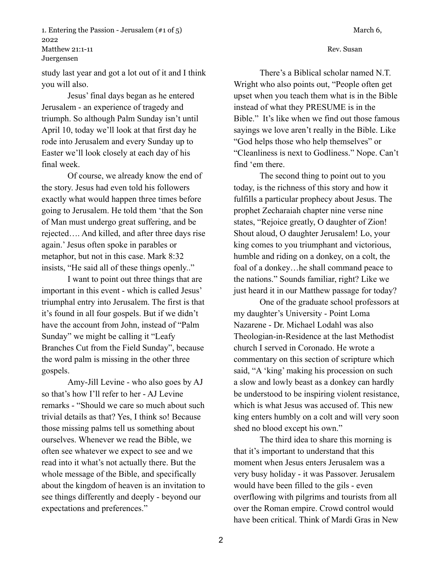1. Entering the Passion - Jerusalem (#1 of 5) March 6, 2022 Matthew 21:1-11 Rev. Susan Juergensen

study last year and got a lot out of it and I think you will also.

Jesus' final days began as he entered Jerusalem - an experience of tragedy and triumph. So although Palm Sunday isn't until April 10, today we'll look at that first day he rode into Jerusalem and every Sunday up to Easter we'll look closely at each day of his final week.

Of course, we already know the end of the story. Jesus had even told his followers exactly what would happen three times before going to Jerusalem. He told them 'that the Son of Man must undergo great suffering, and be rejected…. And killed, and after three days rise again.' Jesus often spoke in parables or metaphor, but not in this case. Mark 8:32 insists, "He said all of these things openly.."

I want to point out three things that are important in this event - which is called Jesus' triumphal entry into Jerusalem. The first is that it's found in all four gospels. But if we didn't have the account from John, instead of "Palm Sunday" we might be calling it "Leafy Branches Cut from the Field Sunday", because the word palm is missing in the other three gospels.

Amy-Jill Levine - who also goes by AJ so that's how I'll refer to her - AJ Levine remarks - "Should we care so much about such trivial details as that? Yes, I think so! Because those missing palms tell us something about ourselves. Whenever we read the Bible, we often see whatever we expect to see and we read into it what's not actually there. But the whole message of the Bible, and specifically about the kingdom of heaven is an invitation to see things differently and deeply - beyond our expectations and preferences."

There's a Biblical scholar named N.T. Wright who also points out, "People often get upset when you teach them what is in the Bible instead of what they PRESUME is in the Bible." It's like when we find out those famous sayings we love aren't really in the Bible. Like "God helps those who help themselves" or "Cleanliness is next to Godliness." Nope. Can't find 'em there.

The second thing to point out to you today, is the richness of this story and how it fulfills a particular prophecy about Jesus. The prophet Zecharaiah chapter nine verse nine states, "Rejoice greatly, O daughter of Zion! Shout aloud, O daughter Jerusalem! Lo, your king comes to you triumphant and victorious, humble and riding on a donkey, on a colt, the foal of a donkey…he shall command peace to the nations." Sounds familiar, right? Like we just heard it in our Matthew passage for today?

One of the graduate school professors at my daughter's University - Point Loma Nazarene - Dr. Michael Lodahl was also Theologian-in-Residence at the last Methodist church I served in Coronado. He wrote a commentary on this section of scripture which said, "A 'king' making his procession on such a slow and lowly beast as a donkey can hardly be understood to be inspiring violent resistance, which is what Jesus was accused of. This new king enters humbly on a colt and will very soon shed no blood except his own."

The third idea to share this morning is that it's important to understand that this moment when Jesus enters Jerusalem was a very busy holiday - it was Passover. Jerusalem would have been filled to the gils - even overflowing with pilgrims and tourists from all over the Roman empire. Crowd control would have been critical. Think of Mardi Gras in New